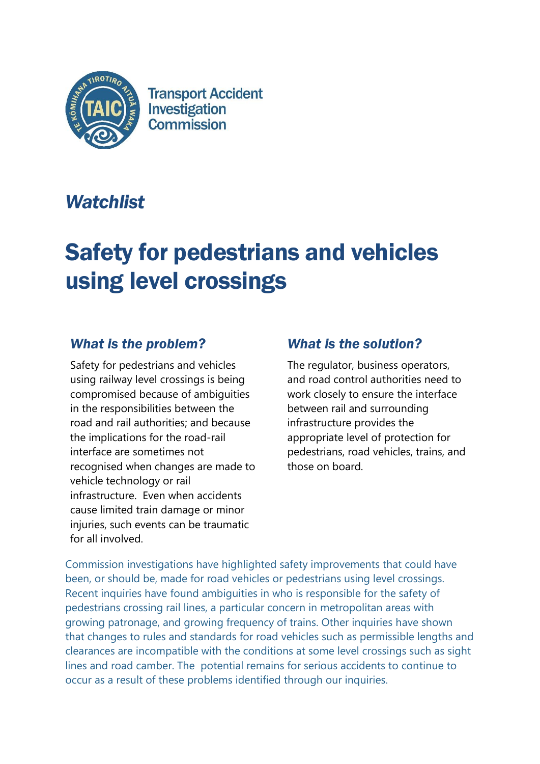

**Transport Accident** Investigation **Commission** 

## *Watchlist*

# Safety for pedestrians and vehicles using level crossings

### *What is the problem?*

Safety for pedestrians and vehicles using railway level crossings is being compromised because of ambiguities in the responsibilities between the road and rail authorities; and because the implications for the road-rail interface are sometimes not recognised when changes are made to vehicle technology or rail infrastructure. Even when accidents cause limited train damage or minor injuries, such events can be traumatic for all involved.

### *What is the solution?*

The regulator, business operators, and road control authorities need to work closely to ensure the interface between rail and surrounding infrastructure provides the appropriate level of protection for pedestrians, road vehicles, trains, and those on board.

Commission investigations have highlighted safety improvements that could have been, or should be, made for road vehicles or pedestrians using level crossings. Recent inquiries have found ambiguities in who is responsible for the safety of pedestrians crossing rail lines, a particular concern in metropolitan areas with growing patronage, and growing frequency of trains. Other inquiries have shown that changes to rules and standards for road vehicles such as permissible lengths and clearances are incompatible with the conditions at some level crossings such as sight lines and road camber. The potential remains for serious accidents to continue to occur as a result of these problems identified through our inquiries.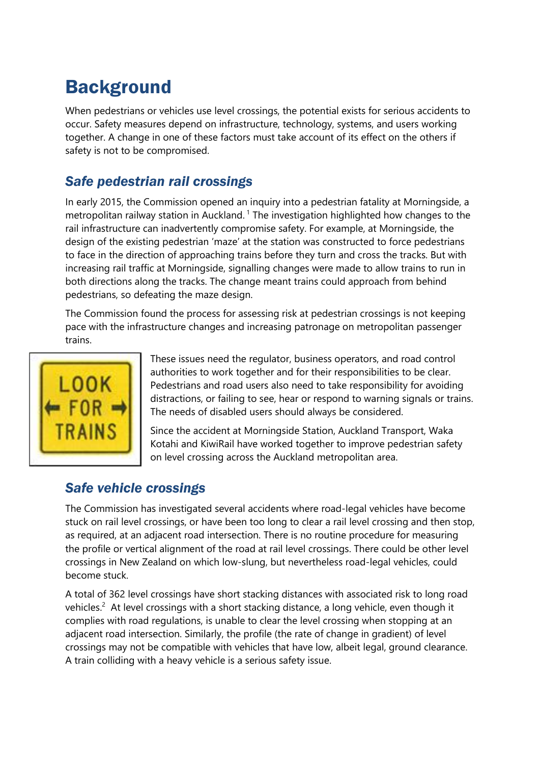## **Background**

When pedestrians or vehicles use level crossings, the potential exists for serious accidents to occur. Safety measures depend on infrastructure, technology, systems, and users working together. A change in one of these factors must take account of its effect on the others if safety is not to be compromised.

### *Safe pedestrian rail crossings*

In early 2015, the Commission opened an inquiry into a pedestrian fatality at Morningside, a metropolitan railway station in Auckland.<sup>1</sup> The investigation highlighted how changes to the rail infrastructure can inadvertently compromise safety. For example, at Morningside, the design of the existing pedestrian 'maze' at the station was constructed to force pedestrians to face in the direction of approaching trains before they turn and cross the tracks. But with increasing rail traffic at Morningside, signalling changes were made to allow trains to run in both directions along the tracks. The change meant trains could approach from behind pedestrians, so defeating the maze design.

The Commission found the process for assessing risk at pedestrian crossings is not keeping pace with the infrastructure changes and increasing patronage on metropolitan passenger trains.



These issues need the regulator, business operators, and road control authorities to work together and for their responsibilities to be clear. Pedestrians and road users also need to take responsibility for avoiding distractions, or failing to see, hear or respond to warning signals or trains. The needs of disabled users should always be considered.

Since the accident at Morningside Station, Auckland Transport, Waka Kotahi and KiwiRail have worked together to improve pedestrian safety on level crossing across the Auckland metropolitan area.

### *Safe vehicle crossings*

The Commission has investigated several accidents where road-legal vehicles have become stuck on rail level crossings, or have been too long to clear a rail level crossing and then stop, as required, at an adjacent road intersection. There is no routine procedure for measuring the profile or vertical alignment of the road at rail level crossings. There could be other level crossings in New Zealand on which low-slung, but nevertheless road-legal vehicles, could become stuck.

A total of 362 level crossings have short stacking distances with associated risk to long road vehicles.<sup>2</sup> At level crossings with a short stacking distance, a long vehicle, even though it complies with road regulations, is unable to clear the level crossing when stopping at an adjacent road intersection. Similarly, the profile (the rate of change in gradient) of level crossings may not be compatible with vehicles that have low, albeit legal, ground clearance. A train colliding with a heavy vehicle is a serious safety issue.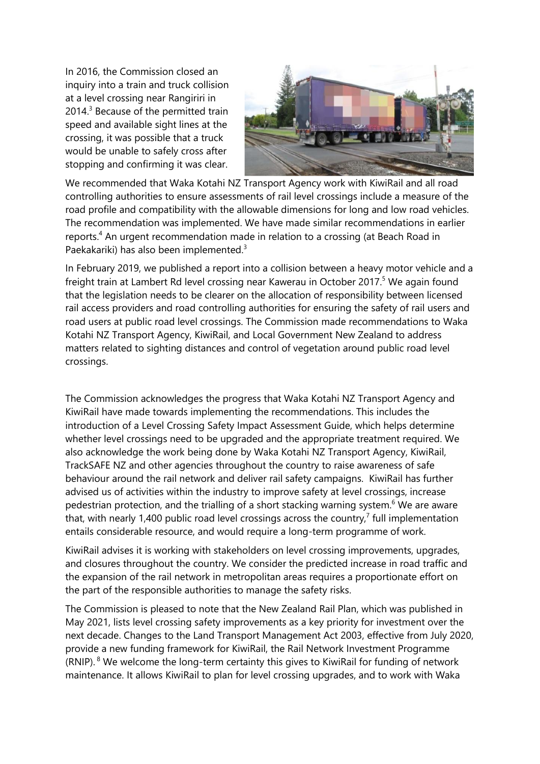In 2016, the Commission closed an inquiry into a train and truck collision at a level crossing near Rangiriri in 2014. <sup>3</sup> Because of the permitted train speed and available sight lines at the crossing, it was possible that a truck would be unable to safely cross after stopping and confirming it was clear.



We recommended that Waka Kotahi NZ Transport Agency work with KiwiRail and all road controlling authorities to ensure assessments of rail level crossings include a measure of the road profile and compatibility with the allowable dimensions for long and low road vehicles. The recommendation was implemented. We have made similar recommendations in earlier reports.<sup>4</sup> An urgent recommendation made in relation to a crossing (at Beach Road in Paekakariki) has also been implemented.<sup>3</sup>

In February 2019, we published a report into a collision between a heavy motor vehicle and a freight train at Lambert Rd level crossing near Kawerau in October 2017.<sup>5</sup> We again found that the legislation needs to be clearer on the allocation of responsibility between licensed rail access providers and road controlling authorities for ensuring the safety of rail users and road users at public road level crossings. The Commission made recommendations to Waka Kotahi NZ Transport Agency, KiwiRail, and Local Government New Zealand to address matters related to sighting distances and control of vegetation around public road level crossings.

The Commission acknowledges the progress that Waka Kotahi NZ Transport Agency and KiwiRail have made towards implementing the recommendations. This includes the introduction of a Level Crossing Safety Impact Assessment Guide, which helps determine whether level crossings need to be upgraded and the appropriate treatment required. We also acknowledge the work being done by Waka Kotahi NZ Transport Agency, KiwiRail, TrackSAFE NZ and other agencies throughout the country to raise awareness of safe behaviour around the rail network and deliver rail safety campaigns. KiwiRail has further advised us of activities within the industry to improve safety at level crossings, increase pedestrian protection, and the trialling of a short stacking warning system.<sup>6</sup> We are aware that, with nearly 1,400 public road level crossings across the country,<sup>7</sup> full implementation entails considerable resource, and would require a long-term programme of work.

KiwiRail advises it is working with stakeholders on level crossing improvements, upgrades, and closures throughout the country. We consider the predicted increase in road traffic and the expansion of the rail network in metropolitan areas requires a proportionate effort on the part of the responsible authorities to manage the safety risks.

The Commission is pleased to note that the New Zealand Rail Plan, which was published in May 2021, lists level crossing safety improvements as a key priority for investment over the next decade. Changes to the Land Transport Management Act 2003, effective from July 2020, provide a new funding framework for KiwiRail, the Rail Network Investment Programme (RNIP). <sup>8</sup> We welcome the long-term certainty this gives to KiwiRail for funding of network maintenance. It allows KiwiRail to plan for level crossing upgrades, and to work with Waka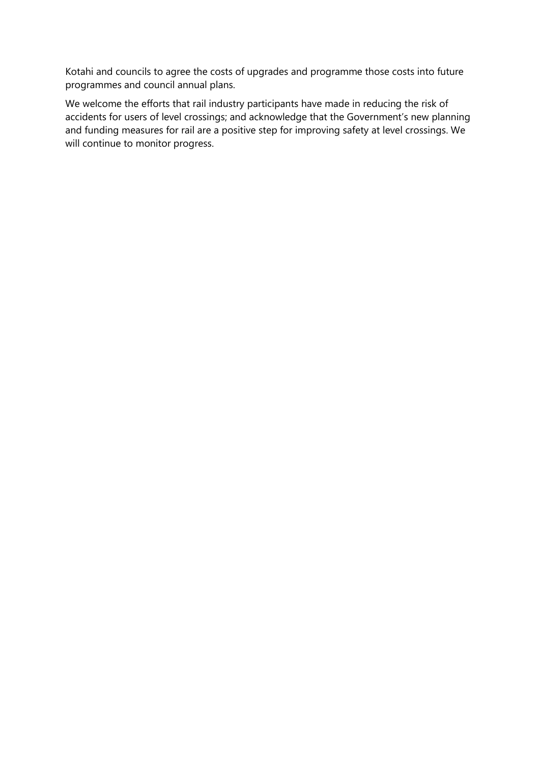Kotahi and councils to agree the costs of upgrades and programme those costs into future programmes and council annual plans.

We welcome the efforts that rail industry participants have made in reducing the risk of accidents for users of level crossings; and acknowledge that the Government's new planning and funding measures for rail are a positive step for improving safety at level crossings. We will continue to monitor progress.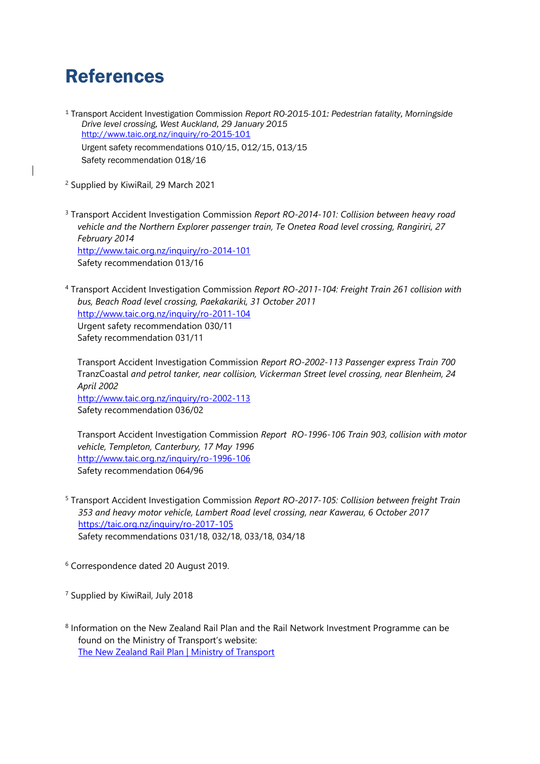## References

<sup>1</sup> Transport Accident Investigation Commission *Report RO-2015-101: Pedestrian fatality, Morningside Drive level crossing, West Auckland, 29 January 2015*  <http://www.taic.org.nz/inquiry/ro-2015-101> Urgent safety recommendations 010/15, 012/15, 013/15 Safety recommendation 018/16

<sup>2</sup> Supplied by KiwiRail, 29 March 2021

<sup>3</sup> Transport Accident Investigation Commission *Report RO-2014-101: Collision between heavy road vehicle and the Northern Explorer passenger train, Te Onetea Road level crossing, Rangiriri, 27 February 2014* <http://www.taic.org.nz/inquiry/ro-2014-101> Safety recommendation 013/16

<sup>4</sup> Transport Accident Investigation Commission *Report RO-2011-104: Freight Train 261 collision with bus, Beach Road level crossing, Paekakariki, 31 October 2011* <http://www.taic.org.nz/inquiry/ro-2011-104> Urgent safety recommendation 030/11 Safety recommendation 031/11

Transport Accident Investigation Commission *Report RO-2002-113 Passenger express Train 700*  TranzCoastal *and petrol tanker, near collision, Vickerman Street level crossing, near Blenheim, 24 April 2002* <http://www.taic.org.nz/inquiry/ro-2002-113> Safety recommendation 036/02

Transport Accident Investigation Commission *Report RO-1996-106 Train 903, collision with motor vehicle, Templeton, Canterbury, 17 May 1996* <http://www.taic.org.nz/inquiry/ro-1996-106> Safety recommendation 064/96

<sup>5</sup> Transport Accident Investigation Commission *Report RO-2017-105: Collision between freight Train 353 and heavy motor vehicle, Lambert Road level crossing, near Kawerau, 6 October 2017* <https://taic.org.nz/inquiry/ro-2017-105> Safety recommendations 031/18, 032/18, 033/18, 034/18

<sup>6</sup> Correspondence dated 20 August 2019.

<sup>7</sup> Supplied by KiwiRail, July 2018

<sup>8</sup> Information on the New Zealand Rail Plan and the Rail Network Investment Programme can be found on the Ministry of Transport's website: [The New Zealand Rail Plan | Ministry of Transport](https://www.transport.govt.nz/area-of-interest/infrastructure-and-investment/the-new-zealand-rail-plan/#:~:text=New%20Zealand%20Rail%20Plan%20released&text=The%20Rail%20Plan%20aims%20to,productivity%20in%20our%20largest%20cities.)